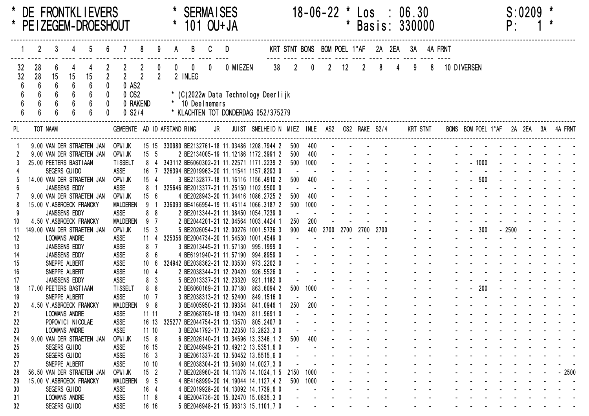|          |          |          |                                         |    | DE FRONTKLIEVERS<br>PE I ZEGEM-DROESHOUT |                               |                |                       |                |         |                         |             | <b>SERMAISES</b><br>101 OU+ JA                                                           |  |    |                | $18 - 06 - 22$              |                                         | *<br>₩. | Los<br>Basis: 330000 |   |                | 06.30 |                    |            |             |         | P:      | $S:0209$ * |                                      |
|----------|----------|----------|-----------------------------------------|----|------------------------------------------|-------------------------------|----------------|-----------------------|----------------|---------|-------------------------|-------------|------------------------------------------------------------------------------------------|--|----|----------------|-----------------------------|-----------------------------------------|---------|----------------------|---|----------------|-------|--------------------|------------|-------------|---------|---------|------------|--------------------------------------|
|          |          | 2        |                                         |    |                                          |                               |                |                       |                |         |                         |             | D                                                                                        |  |    |                | KRT STNT BONS BOM POEL 1°AF |                                         |         |                      |   | 2A 2EA         |       |                    | 3A 4A FRNT |             |         |         |            |                                      |
|          | 32<br>32 | 28<br>28 | 6<br>15                                 | 15 | 15                                       | $\overline{2}$<br>$0$ AS2     | $\overline{2}$ |                       | $\overline{2}$ |         | $\mathbf{0}$<br>2 INLEG | $\mathbf 0$ | 0 MIEZEN                                                                                 |  | 38 | $\overline{2}$ | $\mathbf{0}$                | $\overline{2}$                          | 12      | $\overline{2}$       | 8 | $\overline{4}$ | 9     | 8                  |            | 10 DIVERSEN |         |         |            |                                      |
|          |          |          |                                         |    |                                          | 0 OS2                         |                |                       |                |         |                         |             | * (C)2022w Data Technology Deerlijk                                                      |  |    |                |                             |                                         |         |                      |   |                |       |                    |            |             |         |         |            |                                      |
|          |          |          |                                         |    |                                          | 0 RAKEND                      |                |                       |                | $\star$ | 10 Deelnemers           |             |                                                                                          |  |    |                |                             |                                         |         |                      |   |                |       |                    |            |             |         |         |            |                                      |
|          |          |          |                                         |    |                                          |                               | $0$ S2/4       |                       |                |         |                         |             | * KLACHTEN TOT DONDERDAG 052/375279                                                      |  |    |                |                             |                                         |         |                      |   |                |       |                    |            |             |         |         |            |                                      |
| PL.      |          |          | TOT NAAM                                |    |                                          | GEMEENTE AD ID AFSTAND RING   |                |                       |                |         |                         |             | JR JUIST SNELHEID N MIEZ INLE AS2 OS2 RAKE S2/4                                          |  |    |                |                             |                                         |         |                      |   |                |       | KRT STNT           |            |             |         |         |            | BONS BOM POEL 1°AF 2A 2EA 3A 4A FRNT |
|          |          |          |                                         |    |                                          |                               |                |                       |                |         |                         |             |                                                                                          |  |    |                |                             |                                         |         |                      |   |                |       |                    |            |             |         |         |            |                                      |
|          |          |          |                                         |    | 9.00 VAN DER STRAETEN JAN                | OPWI JK                       |                |                       |                |         |                         |             | 15 15 330980 BE2132761-18 11.03486 1208.7944 2                                           |  |    | 500            | 400                         |                                         |         |                      |   |                |       |                    |            |             |         |         |            |                                      |
|          |          |          |                                         |    | 9.00 VAN DER STRAETEN JAN                | OPWI JK                       |                | 15 <sub>5</sub>       |                |         |                         |             | 2 BE2134005-19 11.12186 1172.3991 2                                                      |  |    | 500            | 400                         |                                         |         |                      |   |                |       |                    |            |             | $-1000$ |         |            |                                      |
|          |          |          | 25.00 PEETERS BASTIAAN<br>SEGERS GUIDO  |    |                                          | <b>TISSELT</b><br><b>ASSE</b> |                | 16 7                  |                |         |                         |             | 8 4 343112 BE6060302-21 11.22571 1171.2239 2<br>326394 BE2019963-20 11.11541 1157.8293 0 |  |    | 500            | 1000                        |                                         |         |                      |   |                |       |                    |            |             |         |         |            |                                      |
|          |          |          |                                         |    | 14.00 VAN DER STRAETEN JAN               | OPWI JK                       |                | $15 \quad 4$          |                |         |                         |             | 3 BE2132877-18 11.16116 1156.4910 2                                                      |  |    | 500            | 400                         |                                         |         |                      |   |                |       |                    |            |             | $-500$  |         |            |                                      |
|          |          |          | <b>JANSSENS EDDY</b>                    |    |                                          | ASSE                          |                | $8-1$                 |                |         |                         |             | 325646 BE2013377-21 11.25150 1102.9500 0                                                 |  |    |                |                             |                                         |         |                      |   |                |       |                    |            |             |         |         |            |                                      |
|          |          |          |                                         |    | 9.00 VAN DER STRAETEN JAN                | OPWI JK                       |                | 156                   |                |         |                         |             | 4 BE2028943-20 11.34416 1086.2725 2                                                      |  |    | 500            | 400                         |                                         |         |                      |   |                |       |                    |            |             |         |         |            |                                      |
|          |          |          | 15.00 V.ASBROECK FRANCKY                |    |                                          | <b>MALDEREN</b>               |                | 9                     |                |         |                         |             | 336093 BE4166954-19 11.45114 1066.3187 2                                                 |  |    | 500            | 1000                        |                                         |         |                      |   |                |       |                    |            |             |         |         |            |                                      |
|          |          |          | JANSSENS EDDY                           |    |                                          | <b>ASSE</b>                   |                | 8 <sub>8</sub>        |                |         |                         |             | 2 BE2013344-21 11.38450 1054.7239 0                                                      |  |    |                |                             |                                         |         |                      |   |                |       |                    |            |             |         |         |            |                                      |
| 10       |          |          | 4.50 V.ASBROECK FRANCKY                 |    |                                          | <b>MALDEREN</b>               |                | 9 <sub>7</sub>        |                |         |                         |             | 2 BE2044201-21 12.04564 1003.4424 1                                                      |  |    | 250            | 200                         |                                         |         |                      |   |                |       |                    |            |             |         |         |            |                                      |
| 11       |          |          |                                         |    | 149.00 VAN DER STRAETEN JAN              | OPWI JK                       |                | $15 \quad 3$          |                |         |                         |             | 5 BE2026054-21 12.00276 1001.5736 3                                                      |  |    | 900            |                             | 400 2700 2700 2700 2700                 |         |                      |   |                |       |                    |            |             | $-300$  | $-2500$ |            |                                      |
| 12       |          |          | <b>LOOMANS ANDRE</b>                    |    |                                          | <b>ASSE</b>                   |                | $11 \quad 4$          |                |         |                         |             | 325356 BE2004734-20 11.54530 1001.4549 0                                                 |  |    |                |                             |                                         |         |                      |   |                |       |                    |            |             |         |         |            |                                      |
| 13       |          |          | JANSSENS EDDY                           |    |                                          | <b>ASSE</b>                   |                | 8 <sub>7</sub>        |                |         |                         |             | 3 BE2013445-21 11.57130 995.1999 0                                                       |  |    |                |                             |                                         |         |                      |   |                |       |                    |            |             |         |         |            |                                      |
| 14       |          |          | JANSSENS EDDY                           |    |                                          | <b>ASSE</b>                   |                | 8 6                   |                |         |                         |             | 4 BE6191940-21 11.57190 994.8959 0                                                       |  |    |                |                             |                                         |         |                      |   |                |       |                    |            |             |         |         |            |                                      |
| 15       |          |          | SNEPPE ALBERT                           |    |                                          | <b>ASSE</b>                   |                | 10 <sub>6</sub>       |                |         |                         |             | 324942 BE2038362-21 12.03530 973.2202 0                                                  |  |    |                |                             |                                         |         |                      |   |                |       |                    |            |             |         |         |            |                                      |
| 16       |          |          | SNEPPE ALBERT                           |    |                                          | <b>ASSE</b>                   |                | 10 <sub>4</sub>       |                |         |                         |             | 2 BE2038344-21 12.20420 926.5526 0                                                       |  |    |                |                             |                                         |         |                      |   |                |       |                    |            |             |         |         |            |                                      |
| 17       |          |          | JANSSENS EDDY                           |    |                                          | <b>ASSE</b>                   |                | 8 <sup>3</sup>        |                |         |                         |             | 5 BE2013337-21 12.23320 921.1182 0                                                       |  |    |                |                             |                                         |         |                      |   |                |       |                    |            |             |         |         |            |                                      |
| 18       |          |          | 17.00 PEETERS BASTIAAN<br>SNEPPE ALBERT |    |                                          | <b>TISSELT</b><br><b>ASSE</b> |                | 8 <sub>8</sub>        |                |         |                         |             | 2 BE6060169-21 13.07180 863.6094 2<br>3 BE2038313-21 12.52400 849.1516 0                 |  |    | 500            | 1000                        |                                         |         |                      |   |                |       |                    |            |             | 200     |         |            |                                      |
| 19<br>20 |          |          | 4.50 V.ASBROECK FRANCKY                 |    |                                          | <b>MALDEREN</b>               |                | 10 <sub>7</sub><br>98 |                |         |                         |             | 3 BE4005950-21 13.09354 841.0946 1                                                       |  |    | 250            | 200                         |                                         |         |                      |   |                |       |                    |            |             |         |         |            |                                      |
| 21       |          |          | <b>LOOMANS ANDRE</b>                    |    |                                          | <b>ASSE</b>                   |                | 1111                  |                |         |                         |             | 2 BE2068769-18 13.10420 811.9691 0                                                       |  |    |                |                             |                                         |         |                      |   |                |       |                    |            |             |         |         |            |                                      |
| 22       |          |          | POPOVICI NICOLAE                        |    |                                          | ASSE                          |                |                       |                |         |                         |             | 16 13 325277 BE2044754-21 13.13570 805.2407 0                                            |  |    |                |                             |                                         |         |                      |   |                |       |                    |            |             |         |         |            |                                      |
| 23       |          |          | <b>LOOMANS ANDRE</b>                    |    |                                          | ASSE                          |                | 1110                  |                |         |                         |             | 3 BE2041792-17 13.22350 13.2823,3 0                                                      |  |    |                |                             |                                         |         |                      |   |                |       |                    |            |             |         |         |            |                                      |
| 24       |          |          |                                         |    | 9.00 VAN DER STRAETEN JAN                | OPWI JK                       |                | 15 <sub>8</sub>       |                |         |                         |             | 6 BE2026140-21 13.34596 13.3346,1 2                                                      |  |    | 500            | 400                         |                                         |         |                      |   |                |       |                    |            |             |         |         |            |                                      |
| 25       |          |          | SEGERS GUIDO                            |    |                                          | ASSE                          |                | 16 15                 |                |         |                         |             | 2 BE2046949-21 13.49212 13.5351,6 0                                                      |  |    |                |                             |                                         |         |                      |   |                |       |                    |            |             |         |         |            |                                      |
| 26       |          |          | SEGERS GUIDO                            |    |                                          | ASSE                          |                | 16 <sup>3</sup>       |                |         |                         |             | 3 BE2061337-20 13.50452 13.5515,6 0                                                      |  |    |                |                             |                                         |         |                      |   |                |       |                    |            |             |         |         |            |                                      |
| 27       |          |          | SNEPPE ALBERT                           |    |                                          | ASSE                          |                | 1010                  |                |         |                         |             | 4 BE2038304-21 13.54080 14.0027,3 0                                                      |  |    |                |                             |                                         |         |                      |   |                |       |                    |            |             |         |         |            |                                      |
| 28       |          |          |                                         |    | 56.50 VAN DER STRAETEN JAN               | OPWI JK                       |                | 15 <sub>2</sub>       |                |         |                         |             | 7 BE2028960-20 14.11376 14.1024,1 5                                                      |  |    | 2150           | 1000                        |                                         |         |                      |   |                |       |                    |            |             |         |         |            | $-2500$                              |
| 29       |          |          | 15.00 V.ASBROECK FRANCKY                |    |                                          | <b>MALDEREN</b>               |                | 9 <sub>5</sub>        |                |         |                         |             | 4 BE4168999-20 14.19044 14.1127,4 2                                                      |  |    | 500            | 1000                        |                                         |         |                      |   |                |       |                    |            |             |         |         |            |                                      |
| 30       |          |          | SEGERS GUIDO                            |    |                                          | ASSE                          |                | 16 <sub>4</sub>       |                |         |                         |             | 4 BE2019928-20 14.13092 14.1739,6 0                                                      |  |    |                |                             |                                         |         |                      |   |                |       |                    |            |             |         |         |            |                                      |
| 31       |          |          | LOOMANS ANDRE                           |    |                                          | ASSE                          |                | $11 \quad 8$          |                |         |                         |             | 4 BE2004736-20 15.02470 15.0835,3 0                                                      |  |    |                |                             |                                         |         |                      |   |                |       |                    |            |             |         |         |            |                                      |
| 32       |          |          | SEGERS GUIDO                            |    |                                          | ASSE                          |                | 16 16                 |                |         |                         |             | 5 BE2046948-21 15.06313 15.1101,7 0                                                      |  |    |                | $\blacksquare$              | and the state of the state of the state |         |                      |   |                |       | $\Delta\phi=0.000$ |            |             |         |         |            |                                      |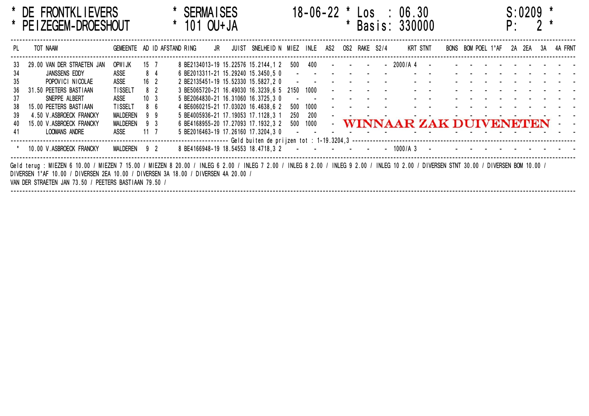|           | * DE FRONTKLIEVERS<br>PE I ZEGEM-DROESHOUT                                                                                                                                                                                                                                                                                                                                                                                 |                             |                 |          |  | <b>SERMAISES</b><br>101 OU+JA |  |                                                                            |            |             |     | * |                              |        | $18-06-22$ * $\text{Los}$ : 06.30<br>Basis: 330000 |                        |                    | $\mathsf{p}$ . | S:0209 | 2  |         |
|-----------|----------------------------------------------------------------------------------------------------------------------------------------------------------------------------------------------------------------------------------------------------------------------------------------------------------------------------------------------------------------------------------------------------------------------------|-----------------------------|-----------------|----------|--|-------------------------------|--|----------------------------------------------------------------------------|------------|-------------|-----|---|------------------------------|--------|----------------------------------------------------|------------------------|--------------------|----------------|--------|----|---------|
| PL        | TOT NAAM                                                                                                                                                                                                                                                                                                                                                                                                                   | GEMEENTE AD ID AFSTAND RING |                 |          |  | JR                            |  | JUIST SNELHEID N MIEZ INLE                                                 |            |             | AS2 |   | OS2 RAKE S2/4                |        |                                                    | KRT STNT               | BONS BOM POEL 1°AF | 2A             | 2EA    | 3A | 4A FRNT |
| 33.<br>34 | 29.00 VAN DER STRAETEN JAN<br>JANSSENS EDDY                                                                                                                                                                                                                                                                                                                                                                                | OPWIJK<br>ASSE              | 15 7            | 8 4      |  |                               |  | 8 BE2134013-19 15.22576 15.2144,1 2<br>6 BE2013311-21 15.29240 15.3450,5 0 |            | 500 400     |     |   | the contract of the contract | $\sim$ | 2000/A4                                            |                        |                    |                |        |    |         |
| 35<br>36  | POPOVICI NICOLAE<br>31.50 PEETERS BASTIAAN                                                                                                                                                                                                                                                                                                                                                                                 | ASSE<br>TISSELT             | 16 <sup>2</sup> | 82       |  |                               |  | 2 BE2135451-19 15.52330 15.5827,2 0<br>3 BE5065720-21 16.49030 16.3239,6 5 | 2150 1000  |             |     |   |                              |        |                                                    |                        |                    |                |        |    |         |
| 37<br>38  | SNEPPE ALBERT<br>15.00 PEETERS BASTIAAN                                                                                                                                                                                                                                                                                                                                                                                    | ASSE<br>TISSELT             | 10 <sub>3</sub> | 86       |  |                               |  | 5 BE2064830-21 16.31060 16.3725,3 0<br>4 BE6060215-21 17.03020 16.4638,6 2 | 500        | 1000        |     |   |                              |        |                                                    |                        |                    |                |        |    |         |
| -39<br>40 | 4.50 V.ASBROECK FRANCKY<br>15.00 V.ASBROECK FRANCKY                                                                                                                                                                                                                                                                                                                                                                        | MALDEREN<br><b>MALDEREN</b> |                 | 99<br>93 |  |                               |  | 5 BE4005936-21 17.19053 17.1128,3 1<br>6 BE4168955-20 17.27093 17.1932.3 2 | 250<br>500 | 200<br>1000 |     |   |                              |        |                                                    | WINNAAR ZAK DUIVENETEN |                    |                |        |    |         |
| 41        | LOOMANS ANDRE                                                                                                                                                                                                                                                                                                                                                                                                              | ASSE                        | $11 \quad 7$    |          |  |                               |  | 5 BE2016463-19 17.26160 17.3204.3 0                                        |            |             |     |   |                              |        |                                                    |                        |                    |                |        |    |         |
|           | 8 BE4166948-19 18.54553 18.4718.3 2<br>10.00 V.ASBROECK FRANCKY<br>MALDEREN 92<br>- 1000/A 3<br>Geld terug: MIEZEN 6 10.00 / MIEZEN 7 15.00 / MIEZEN 8 20.00 / INLEG 6 2.00 / INLEG 7 2.00 / INLEG 9 2.00 / INLEG 10 2.00 / DIVERSEN STNT 30.00 / DIVERSEN BOM 10.00 /<br>DIVERSEN 1°AF 10.00 / DIVERSEN 2EA 10.00 / DIVERSEN 3A 18.00 /<br>' DIVERSEN 4A 20.00 /<br>VAN DER STRAETEN JAN 73.50 / PEETERS BASTIAAN 79.50 / |                             |                 |          |  |                               |  |                                                                            |            |             |     |   |                              |        |                                                    |                        |                    |                |        |    |         |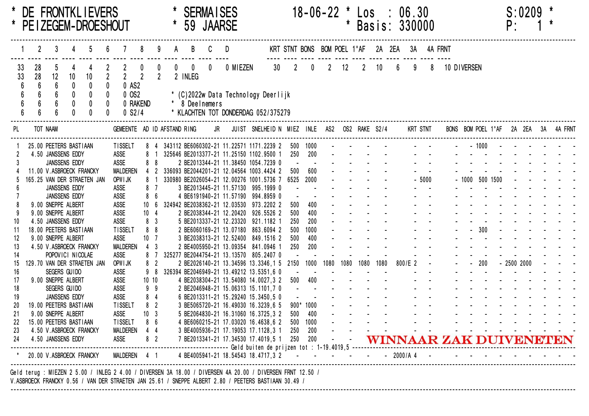|                 |                                                                                                                                                                                                                   |         |                                                                    |    | DE FRONTKLIEVERS<br>* PEIZEGEM-DROESHOUT                |                |                                              |                                    |                                 |                |             |                         | <b>SERMATSES</b><br>59 JAARSE |          |                                                                                                                                                                                       |                   | 18-06-22 *                                    |      |          | LOS                               | $\sim$ 1.1 | * Basis: 330000                       | 06.30 |          |             |                  |         | P:          | <b>S:0209</b> |                                      |
|-----------------|-------------------------------------------------------------------------------------------------------------------------------------------------------------------------------------------------------------------|---------|--------------------------------------------------------------------|----|---------------------------------------------------------|----------------|----------------------------------------------|------------------------------------|---------------------------------|----------------|-------------|-------------------------|-------------------------------|----------|---------------------------------------------------------------------------------------------------------------------------------------------------------------------------------------|-------------------|-----------------------------------------------|------|----------|-----------------------------------|------------|---------------------------------------|-------|----------|-------------|------------------|---------|-------------|---------------|--------------------------------------|
|                 |                                                                                                                                                                                                                   |         |                                                                    |    |                                                         |                |                                              |                                    |                                 |                |             |                         |                               |          |                                                                                                                                                                                       |                   | KRT STNT BONS BOM POEL 1°AF 2A 2EA 3A 4A FRNT |      |          |                                   |            |                                       |       |          |             |                  |         |             |               |                                      |
| 33<br>33        | 28                                                                                                                                                                                                                | 28<br>6 | 12<br>6                                                            | 10 | 10 <sup>°</sup>                                         | $\overline{2}$ |                                              | 0 AS2                              | $\overline{2}$                  | $\overline{2}$ | $\mathbf 0$ | $\mathbf{0}$<br>2 INLEG | $\mathbf{0}$                  | 0 MIEZEN | 30 <sup>°</sup>                                                                                                                                                                       | $\overline{2}$    | $\mathbf{0}$                                  |      | $2 \t12$ | $\overline{2}$                    | 10         | $6\overline{6}$                       | 9     | 8        | 10 DIVERSEN |                  |         |             |               |                                      |
|                 |                                                                                                                                                                                                                   |         |                                                                    |    |                                                         |                |                                              | $0$ OS $2$<br>0 RAKEND<br>$0$ S2/4 |                                 |                |             |                         | * 8 Deelnemers                |          | * (C)2022w Data Technology Deerlijk<br>* KLACHTEN TOT DONDERDAG 052/375279                                                                                                            |                   |                                               |      |          |                                   |            |                                       |       |          |             |                  |         |             |               |                                      |
| PL              |                                                                                                                                                                                                                   |         | TOT NAAM                                                           |    |                                                         |                | GEMEENTE AD ID AFSTAND RING                  |                                    |                                 |                |             |                         |                               | JR       | JUIST SNELHEID N MIEZ INLE AS2 OS2 RAKE S2/4                                                                                                                                          |                   |                                               |      |          |                                   |            |                                       |       | KRT STNT |             |                  |         |             |               | BONS BOM POEL 1°AF 2A 2EA 3A 4A FRNT |
|                 |                                                                                                                                                                                                                   |         | 25.00 PEETERS BASTIAAN<br>4.50 JANSSENS EDDY                       |    |                                                         |                | TISSELT<br><b>ASSE</b>                       |                                    |                                 |                |             |                         |                               |          | 8 4 343112 BE6060302-21 11.22571 1171.2239 2<br>8 1 325646 BE2013377-21 11.25150 1102.9500 1                                                                                          |                   | 500 1000<br>250 200                           |      |          | and the state of the state of the |            |                                       |       |          |             |                  | $-1000$ |             |               |                                      |
|                 |                                                                                                                                                                                                                   |         | JANSSENS EDDY                                                      |    | 11.00 V.ASBROECK FRANCKY<br>165.25 VAN DER STRAETEN JAN |                | ASSE<br><b>MALDEREN</b><br>OPWI JK           |                                    | 88                              |                |             |                         |                               |          | 2 BE2013344-21 11.38450 1054.7239 0<br>4 2 336093 BE2044201-21 12.04564 1003.4424 2<br>8 1 330980 BE2026054-21 12.00276 1001.5736 7 6525                                              | 500               | 600<br>2000                                   |      |          |                                   |            |                                       |       | $-5000$  |             | $-1000$ 500 1500 |         |             |               |                                      |
|                 |                                                                                                                                                                                                                   |         | JANSSENS EDDY<br>JANSSENS EDDY                                     |    |                                                         |                | <b>ASSE</b><br>ASSE                          |                                    | 87<br>8 <sub>6</sub>            |                |             |                         |                               |          | 3 BE2013445-21 11.57130 995.1999 0<br>4 BE6191940-21 11.57190 994.8959 0                                                                                                              |                   |                                               |      |          |                                   |            |                                       |       |          |             |                  |         |             |               |                                      |
|                 |                                                                                                                                                                                                                   |         | 9.00 SNEPPE ALBERT<br>9.00 SNEPPE ALBERT                           |    |                                                         |                | <b>ASSE</b><br><b>ASSE</b>                   |                                    | 10 <sub>6</sub><br>$10 \quad 4$ |                |             |                         |                               |          | 324942 BE2038362-21 12.03530 973.2202 2<br>2 BE2038344-21 12.20420 926.5526 2                                                                                                         | 500<br>500        | 400<br>400                                    |      |          |                                   |            |                                       |       |          |             |                  |         |             |               |                                      |
| 10<br>-11<br>12 |                                                                                                                                                                                                                   |         | 4.50 JANSSENS EDDY<br>18.00 PEETERS BASTIAAN<br>9.00 SNEPPE ALBERT |    |                                                         |                | ASSE<br><b>TISSELT</b><br><b>ASSE</b>        |                                    | 8 3<br>88<br>10 <sub>7</sub>    |                |             |                         |                               |          | 5 BE2013337-21 12.23320 921.1182 1<br>2 BE6060169-21 13.07180 863.6094 2<br>3 BE2038313-21 12.52400 849.1516 2                                                                        | 250<br>500<br>500 | 200<br>1000<br>400                            |      |          |                                   |            |                                       |       |          |             |                  | $-300$  |             |               |                                      |
| 13<br>14        |                                                                                                                                                                                                                   |         | POPOVICI NICOLAE                                                   |    | 4.50 V.ASBROECK FRANCKY                                 |                | <b>MALDEREN</b><br><b>ASSE</b>               |                                    | $4 \quad 3$<br>87               |                |             |                         |                               |          | 2 BE4005950-21 13.09354 841.0946 1<br>325277 BE2044754-21 13.13570 805.2407 0                                                                                                         | 250               | 200                                           |      |          |                                   |            |                                       |       |          |             |                  |         |             |               |                                      |
| 15<br>16<br>-17 |                                                                                                                                                                                                                   |         | SEGERS GUIDO<br>9.00 SNEPPE ALBERT                                 |    | 129.70 VAN DER STRAETEN JAN                             |                | OPWI JK<br><b>ASSE</b><br>ASSE               |                                    | 8 <sup>2</sup><br>98<br>1010    |                |             |                         |                               |          | 2 BE2026140-21 13.34596 13.3346,1 5 2150<br>326394 BE2046949-21 13.49212 13.5351,6 0<br>4 BE2038304-21 13.54080 14.0027,3 2                                                           | 500               | 1000<br>400                                   | 1080 |          | 1080 1080 1080                    |            | 800/E 2                               |       |          |             |                  | $-200$  | $-25002000$ |               |                                      |
| 18<br>19        |                                                                                                                                                                                                                   |         | SEGERS GUIDO<br>JANSSENS EDDY                                      |    |                                                         |                | ASSE<br>ASSE                                 |                                    | 99<br>8 <sub>4</sub>            |                |             |                         |                               |          | 2 BE2046948-21 15.06313 15.1101,7 0<br>6 BE2013311-21 15.29240 15.3450,5 0                                                                                                            |                   | $\sim 100$                                    |      |          |                                   |            |                                       |       |          |             |                  |         |             |               |                                      |
| 20<br>-21<br>22 |                                                                                                                                                                                                                   |         | 19.00 PEETERS BASTIAAN<br>9.00 SNEPPE ALBERT                       |    | 15.00 PEETERS BASTIAAN                                  |                | <b>TISSELT</b><br><b>ASSE</b><br>TISSELT 8 6 |                                    | 82<br>10 <sub>3</sub>           |                |             |                         |                               |          | 3 BE5065720-21 16.49030 16.3239,6 5<br>5 BE2064830-21 16.31060 16.3725,3 2<br>4 BE6060215-21 17.03020 16.4638,6 2 500 1000                                                            | 500               | 900* 1000<br>400                              |      |          |                                   |            |                                       |       |          |             |                  |         |             |               |                                      |
| 23              |                                                                                                                                                                                                                   |         |                                                                    |    |                                                         |                |                                              |                                    |                                 |                |             |                         |                               |          | 4.50 V.ASBROECK FRANCKY MALDEREN 4 4 3 BE4005936-21 17.19053 17.1128,3 1 250 200<br>24 4.50 JANSSENS EDDY ASSE 8 2 7 BE2013341-21 17.34530 17.4019,5 1 250 200 WINNAAR ZAK DUIVENETEN |                   |                                               |      |          |                                   |            | and the company of the company of the |       |          |             |                  |         |             |               |                                      |
|                 |                                                                                                                                                                                                                   |         |                                                                    |    |                                                         |                |                                              |                                    |                                 |                |             |                         |                               |          | * 20.00 V.ASBROECK FRANCKY MALDEREN 4 1 4 BE4005941-21 18.54543 18.4717,3 2 - - - - - - - - 2000/A 4                                                                                  |                   |                                               |      |          |                                   |            |                                       |       |          |             |                  |         |             |               |                                      |
|                 | Geld terug: MIEZEN 2 5.00 / INLEG 2 4.00 / DIVERSEN 3A 18.00 / DIVERSEN 4A 20.00 / DIVERSEN FRNT 12.50 /<br>V. ASBROECK FRANCKY 0.56 / VAN DER STRAETEN JAN 25.61 / SNEPPE ALBERT 2.80 / PEETERS BASTIAAN 30.49 / |         |                                                                    |    |                                                         |                |                                              |                                    |                                 |                |             |                         |                               |          |                                                                                                                                                                                       |                   |                                               |      |          |                                   |            |                                       |       |          |             |                  |         |             |               |                                      |